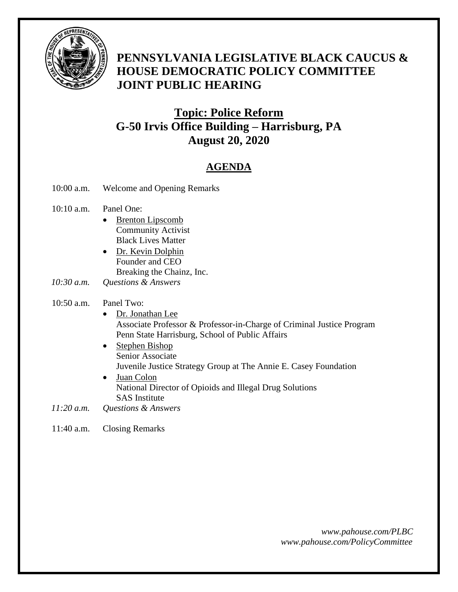

### **PENNSYLVANIA LEGISLATIVE BLACK CAUCUS & HOUSE DEMOCRATIC POLICY COMMITTEE JOINT PUBLIC HEARING**

### *<sup>U</sup>***Topic: Police Reform G-50 Irvis Office Building – Harrisburg, PA August 20, 2020**

### *<sup>U</sup>***AGENDA**

- 10:00 a.m. Welcome and Opening Remarks
- 10:10 a.m. Panel One:
	- Brenton Lipscomb Community Activist Black Lives Matter
	- Dr. Kevin Dolphin Founder and CEO Breaking the Chainz, Inc.
- *10:30 a.m. Questions & Answers*

#### 10:50 a.m. Panel Two:

- Dr. Jonathan Lee Associate Professor & Professor-in-Charge of Criminal Justice Program Penn State Harrisburg, School of Public Affairs
- Stephen Bishop Senior Associate Juvenile Justice Strategy Group at The Annie E. Casey Foundation
- Juan Colon National Director of Opioids and Illegal Drug Solutions SAS Institute
- *11:20 a.m. Questions & Answers*

#### 11:40 a.m. Closing Remarks

 *www.pahouse.com/PLBC www.pahouse.com/PolicyCommittee*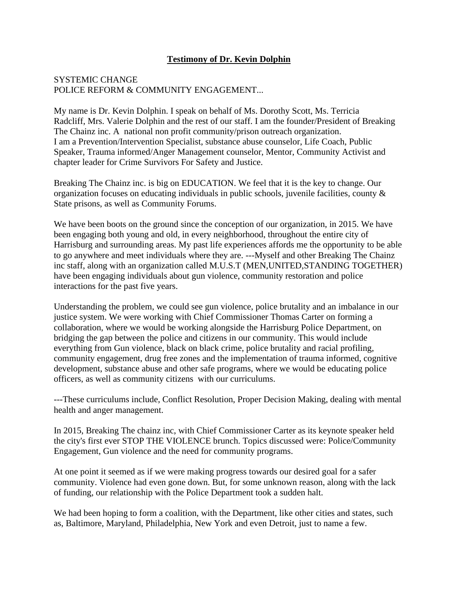#### **Testimony of Dr. Kevin Dolphin**

#### SYSTEMIC CHANGE POLICE REFORM & COMMUNITY ENGAGEMENT...

My name is Dr. Kevin Dolphin. I speak on behalf of Ms. Dorothy Scott, Ms. Terricia Radcliff, Mrs. Valerie Dolphin and the rest of our staff. I am the founder/President of Breaking The Chainz inc. A national non profit community/prison outreach organization. I am a Prevention/Intervention Specialist, substance abuse counselor, Life Coach, Public Speaker, Trauma informed/Anger Management counselor, Mentor, Community Activist and chapter leader for Crime Survivors For Safety and Justice.

Breaking The Chainz inc. is big on EDUCATION. We feel that it is the key to change. Our organization focuses on educating individuals in public schools, juvenile facilities, county & State prisons, as well as Community Forums.

We have been boots on the ground since the conception of our organization, in 2015. We have been engaging both young and old, in every neighborhood, throughout the entire city of Harrisburg and surrounding areas. My past life experiences affords me the opportunity to be able to go anywhere and meet individuals where they are. ---Myself and other Breaking The Chainz inc staff, along with an organization called M.U.S.T (MEN,UNITED,STANDING TOGETHER) have been engaging individuals about gun violence, community restoration and police interactions for the past five years.

Understanding the problem, we could see gun violence, police brutality and an imbalance in our justice system. We were working with Chief Commissioner Thomas Carter on forming a collaboration, where we would be working alongside the Harrisburg Police Department, on bridging the gap between the police and citizens in our community. This would include everything from Gun violence, black on black crime, police brutality and racial profiling, community engagement, drug free zones and the implementation of trauma informed, cognitive development, substance abuse and other safe programs, where we would be educating police officers, as well as community citizens with our curriculums.

---These curriculums include, Conflict Resolution, Proper Decision Making, dealing with mental health and anger management.

In 2015, Breaking The chainz inc, with Chief Commissioner Carter as its keynote speaker held the city's first ever STOP THE VIOLENCE brunch. Topics discussed were: Police/Community Engagement, Gun violence and the need for community programs.

At one point it seemed as if we were making progress towards our desired goal for a safer community. Violence had even gone down. But, for some unknown reason, along with the lack of funding, our relationship with the Police Department took a sudden halt.

We had been hoping to form a coalition, with the Department, like other cities and states, such as, Baltimore, Maryland, Philadelphia, New York and even Detroit, just to name a few.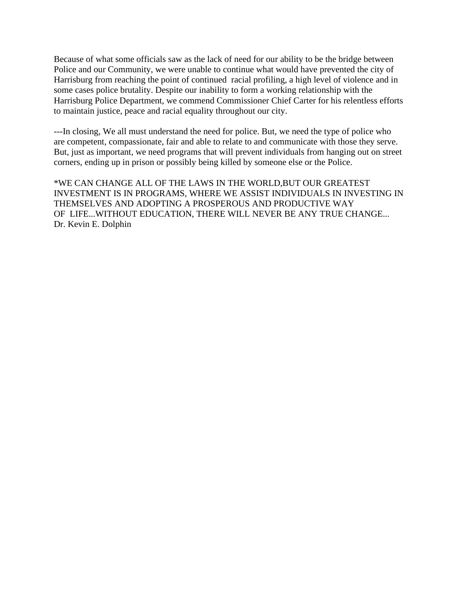Because of what some officials saw as the lack of need for our ability to be the bridge between Police and our Community, we were unable to continue what would have prevented the city of Harrisburg from reaching the point of continued racial profiling, a high level of violence and in some cases police brutality. Despite our inability to form a working relationship with the Harrisburg Police Department, we commend Commissioner Chief Carter for his relentless efforts to maintain justice, peace and racial equality throughout our city.

---In closing, We all must understand the need for police. But, we need the type of police who are competent, compassionate, fair and able to relate to and communicate with those they serve. But, just as important, we need programs that will prevent individuals from hanging out on street corners, ending up in prison or possibly being killed by someone else or the Police.

\*WE CAN CHANGE ALL OF THE LAWS IN THE WORLD,BUT OUR GREATEST INVESTMENT IS IN PROGRAMS, WHERE WE ASSIST INDIVIDUALS IN INVESTING IN THEMSELVES AND ADOPTING A PROSPEROUS AND PRODUCTIVE WAY OF LIFE...WITHOUT EDUCATION, THERE WILL NEVER BE ANY TRUE CHANGE... Dr. Kevin E. Dolphin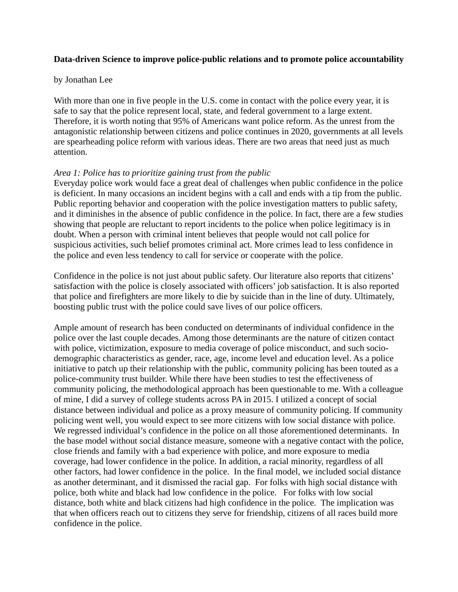#### **Data-driven Science to improve police-public relations and to promote police accountability**

#### by Jonathan Lee

With more than one in five people in the U.S. come in contact with the police every year, it is safe to say that the police represent local, state, and federal government to a large extent. Therefore, it is worth noting that 95% of Americans want police reform. As the unrest from the antagonistic relationship between citizens and police continues in 2020, governments at all levels are spearheading police reform with various ideas. There are two areas that need just as much attention.

#### *Area 1: Police has to prioritize gaining trust from the public*

Everyday police work would face a great deal of challenges when public confidence in the police is deficient. In many occasions an incident begins with a call and ends with a tip from the public. Public reporting behavior and cooperation with the police investigation matters to public safety, and it diminishes in the absence of public confidence in the police. In fact, there are a few studies showing that people are reluctant to report incidents to the police when police legitimacy is in doubt. When a person with criminal intent believes that people would not call police for suspicious activities, such belief promotes criminal act. More crimes lead to less confidence in the police and even less tendency to call for service or cooperate with the police.

Confidence in the police is not just about public safety. Our literature also reports that citizens' satisfaction with the police is closely associated with officers' job satisfaction. It is also reported that police and firefighters are more likely to die by suicide than in the line of duty. Ultimately, boosting public trust with the police could save lives of our police officers.

Ample amount of research has been conducted on determinants of individual confidence in the police over the last couple decades. Among those determinants are the nature of citizen contact with police, victimization, exposure to media coverage of police misconduct, and such sociodemographic characteristics as gender, race, age, income level and education level. As a police initiative to patch up their relationship with the public, community policing has been touted as a police-community trust builder. While there have been studies to test the effectiveness of community policing, the methodological approach has been questionable to me. With a colleague of mine, I did a survey of college students across PA in 2015. I utilized a concept of social distance between individual and police as a proxy measure of community policing. If community policing went well, you would expect to see more citizens with low social distance with police. We regressed individual's confidence in the police on all those aforementioned determinants. In the base model without social distance measure, someone with a negative contact with the police, close friends and family with a bad experience with police, and more exposure to media coverage, had lower confidence in the police. In addition, a racial minority, regardless of all other factors, had lower confidence in the police. In the final model, we included social distance as another determinant, and it dismissed the racial gap. For folks with high social distance with police, both white and black had low confidence in the police. For folks with low social distance, both white and black citizens had high confidence in the police. The implication was that when officers reach out to citizens they serve for friendship, citizens of all races build more confidence in the police.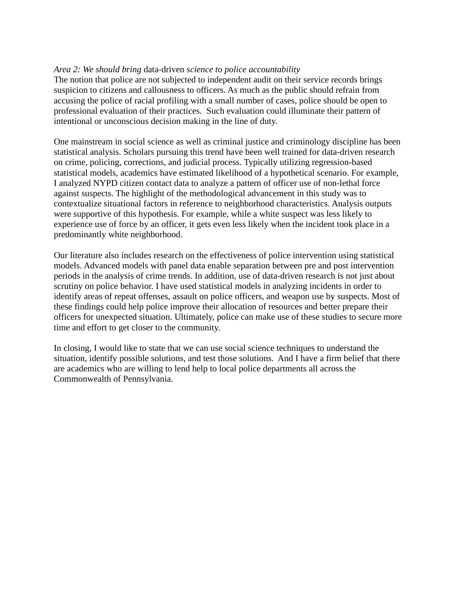#### *Area 2: We should bring* data-driven *science to police accountability*

The notion that police are not subjected to independent audit on their service records brings suspicion to citizens and callousness to officers. As much as the public should refrain from accusing the police of racial profiling with a small number of cases, police should be open to professional evaluation of their practices. Such evaluation could illuminate their pattern of intentional or unconscious decision making in the line of duty.

One mainstream in social science as well as criminal justice and criminology discipline has been statistical analysis. Scholars pursuing this trend have been well trained for data-driven research on crime, policing, corrections, and judicial process. Typically utilizing regression-based statistical models, academics have estimated likelihood of a hypothetical scenario. For example, I analyzed NYPD citizen contact data to analyze a pattern of officer use of non-lethal force against suspects. The highlight of the methodological advancement in this study was to contextualize situational factors in reference to neighborhood characteristics. Analysis outputs were supportive of this hypothesis. For example, while a white suspect was less likely to experience use of force by an officer, it gets even less likely when the incident took place in a predominantly white neighborhood.

Our literature also includes research on the effectiveness of police intervention using statistical models. Advanced models with panel data enable separation between pre and post intervention periods in the analysis of crime trends. In addition, use of data-driven research is not just about scrutiny on police behavior. I have used statistical models in analyzing incidents in order to identify areas of repeat offenses, assault on police officers, and weapon use by suspects. Most of these findings could help police improve their allocation of resources and better prepare their officers for unexpected situation. Ultimately, police can make use of these studies to secure more time and effort to get closer to the community.

In closing, I would like to state that we can use social science techniques to understand the situation, identify possible solutions, and test those solutions. And I have a firm belief that there are academics who are willing to lend help to local police departments all across the Commonwealth of Pennsylvania.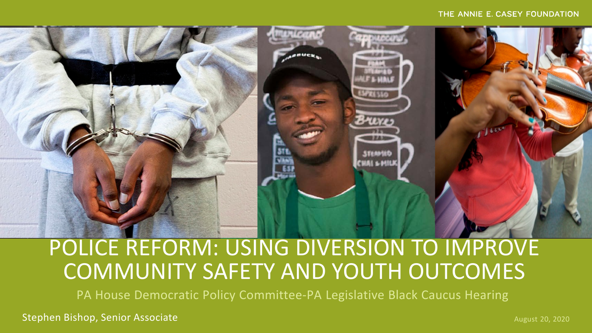#### THE ANNIE E. CASEY FOUNDATION



# POLICE REFORM: USING DIVERSION TO IMPROVE COMMUNITY SAFETY AND YOUTH OUTCOMES

PA House Democratic Policy Committee-PA Legislative Black Caucus Hearing

Stephen Bishop, Senior Associate August 20, 2020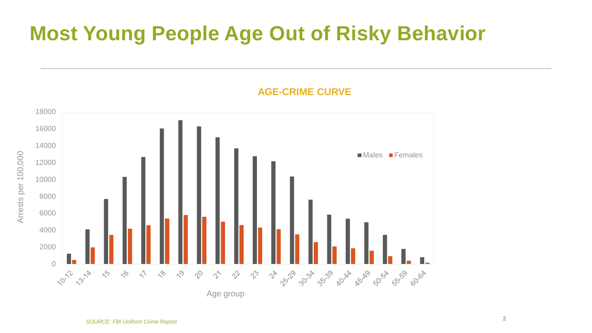# **Most Young People Age Out of Risky Behavior**



**AGE-CRIME CURVE**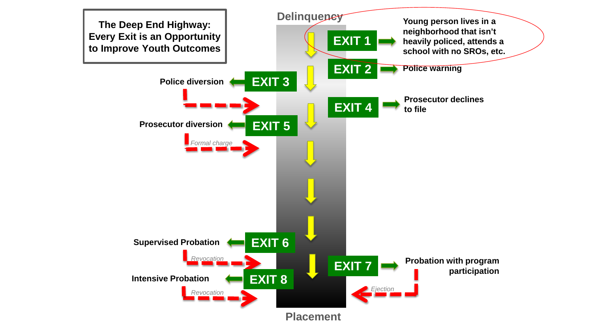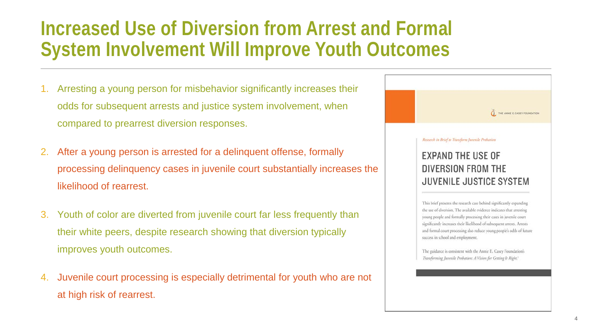### **Increased Use of Diversion from Arrest and Formal System Involvement Will Improve Youth Outcomes**

- 1. Arresting a young person for misbehavior significantly increases their odds for subsequent arrests and justice system involvement, when compared to prearrest diversion responses.
- 2. After a young person is arrested for a delinquent offense, formally processing delinquency cases in juvenile court substantially increases the likelihood of rearrest.
- 3. Youth of color are diverted from juvenile court far less frequently than their white peers, despite research showing that diversion typically improves youth outcomes.
- 4. Juvenile court processing is especially detrimental for youth who are not at high risk of rearrest.



Transforming Juvenile Probation: A Vision for Getting It Right.<sup>1</sup>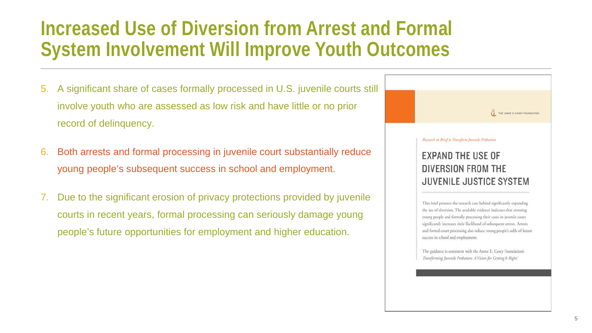### **Increased Use of Diversion from Arrest and Formal System Involvement Will Improve Youth Outcomes**

- 5. A significant share of cases formally processed in U.S. juvenile courts still involve youth who are assessed as low risk and have little or no prior record of delinquency.
- 6. Both arrests and formal processing in juvenile court substantially reduce young people's subsequent success in school and employment.
- 7. Due to the significant erosion of privacy protections provided by juvenile courts in recent years, formal processing can seriously damage young people's future opportunities for employment and higher education.

THE ANNE E. CASEY FOUNDATION Research in Brief to Transform Juvenile Probation **EXPAND THE USE OF** DIVERSION FROM THE **JUVENILE JUSTICE SYSTEM** 

> This brief presents the research case behind significantly expanding the use of diversion. The available evidence indicates that arresting young people and formally processing their cases in juvenile court significantly increases their likelihood of subsequent arrests. Arrests and formal court processing also reduce young people's odds of future success in school and employment.

The guidance is consistent with the Annie E. Casey Foundation's Transforming Juvenile Probation: A Vision for Getting It Right.<sup>1</sup>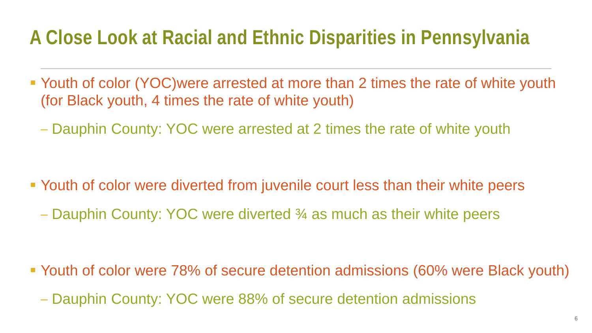## **A Close Look at Racial and Ethnic Disparities in Pennsylvania**

- Youth of color (YOC)were arrested at more than 2 times the rate of white youth (for Black youth, 4 times the rate of white youth)
	- Dauphin County: YOC were arrested at 2 times the rate of white youth

- Youth of color were diverted from juvenile court less than their white peers
	- Dauphin County: YOC were diverted ¾ as much as their white peers

- Youth of color were 78% of secure detention admissions (60% were Black youth)
	- Dauphin County: YOC were 88% of secure detention admissions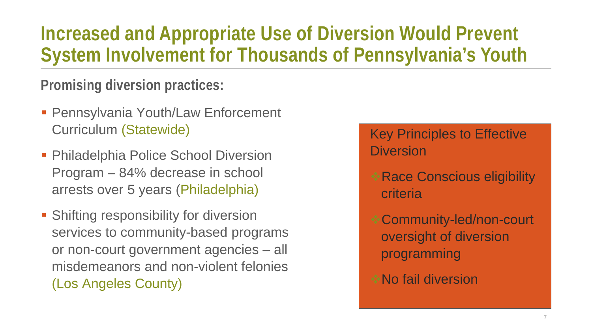## **Increased and Appropriate Use of Diversion Would Prevent System Involvement for Thousands of Pennsylvania's Youth**

**Promising diversion practices:**

- **Pennsylvania Youth/Law Enforcement** Curriculum (Statewide)
- **Philadelphia Police School Diversion** Program – 84% decrease in school arrests over 5 years (Philadelphia)
- **Shifting responsibility for diversion** services to community-based programs or non-court government agencies – all misdemeanors and non-violent felonies (Los Angeles County)

 Key Principles to Effective **Diversion** 

- Race Conscious eligibility criteria
- Community-led/non-court oversight of diversion programming
- No fail diversion